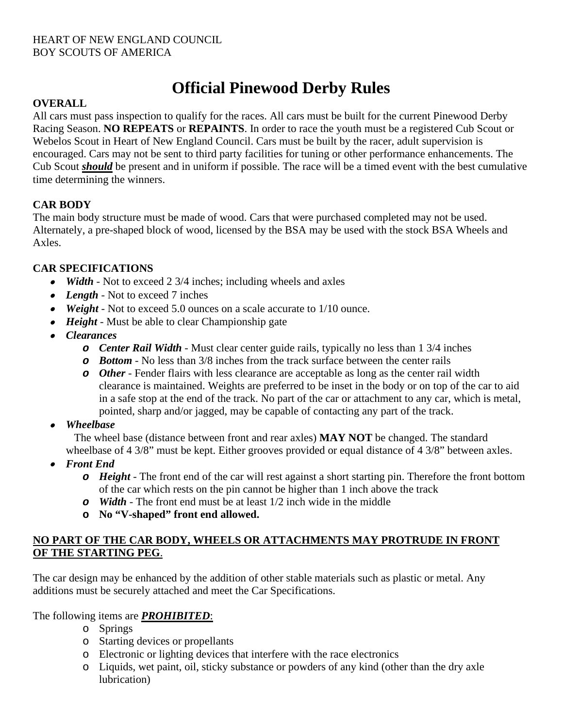# **Official Pinewood Derby Rules**

### **OVERALL**

All cars must pass inspection to qualify for the races. All cars must be built for the current Pinewood Derby Racing Season. **NO REPEATS** or **REPAINTS**. In order to race the youth must be a registered Cub Scout or Webelos Scout in Heart of New England Council. Cars must be built by the racer, adult supervision is encouraged. Cars may not be sent to third party facilities for tuning or other performance enhancements. The Cub Scout *should* be present and in uniform if possible. The race will be a timed event with the best cumulative time determining the winners.

# **CAR BODY**

The main body structure must be made of wood. Cars that were purchased completed may not be used. Alternately, a pre-shaped block of wood, licensed by the BSA may be used with the stock BSA Wheels and Axles.

### **CAR SPECIFICATIONS**

- *Width* Not to exceed 2 3/4 inches; including wheels and axles
- *Length* Not to exceed 7 inches
- *Weight* Not to exceed 5.0 ounces on a scale accurate to 1/10 ounce.
- *Height* Must be able to clear Championship gate
- *Clearances*
	- *o Center Rail Width* Must clear center guide rails, typically no less than 1 3/4 inches
	- *o Bottom* No less than 3/8 inches from the track surface between the center rails
	- *o Other* Fender flairs with less clearance are acceptable as long as the center rail width clearance is maintained. Weights are preferred to be inset in the body or on top of the car to aid in a safe stop at the end of the track. No part of the car or attachment to any car, which is metal, pointed, sharp and/or jagged, may be capable of contacting any part of the track.
- •*Wheelbase*

The wheel base (distance between front and rear axles) **MAY NOT** be changed. The standard wheelbase of 4 3/8" must be kept. Either grooves provided or equal distance of 4 3/8" between axles.

- *Front End*
	- *o Height* The front end of the car will rest against a short starting pin. Therefore the front bottom of the car which rests on the pin cannot be higher than 1 inch above the track
	- *o Width* The front end must be at least 1/2 inch wide in the middle
	- **o No "V-shaped" front end allowed.**

### **NO PART OF THE CAR BODY, WHEELS OR ATTACHMENTS MAY PROTRUDE IN FRONT OF THE STARTING PEG**.

The car design may be enhanced by the addition of other stable materials such as plastic or metal. Any additions must be securely attached and meet the Car Specifications.

# The following items are *PROHIBITED*:

- o Springs
- o Starting devices or propellants
- o Electronic or lighting devices that interfere with the race electronics
- o Liquids, wet paint, oil, sticky substance or powders of any kind (other than the dry axle lubrication)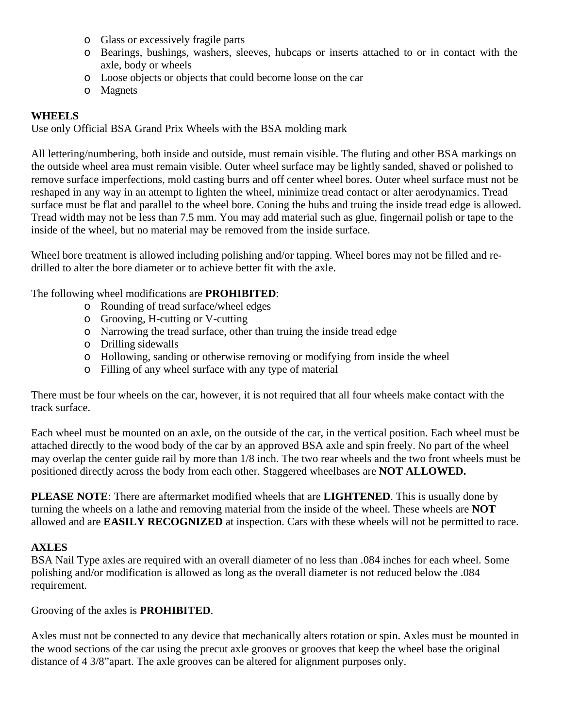- o Glass or excessively fragile parts
- o Bearings, bushings, washers, sleeves, hubcaps or inserts attached to or in contact with the axle, body or wheels
- o Loose objects or objects that could become loose on the car
- o Magnets

#### **WHEELS**

Use only Official BSA Grand Prix Wheels with the BSA molding mark

All lettering/numbering, both inside and outside, must remain visible. The fluting and other BSA markings on the outside wheel area must remain visible. Outer wheel surface may be lightly sanded, shaved or polished to remove surface imperfections, mold casting burrs and off center wheel bores. Outer wheel surface must not be reshaped in any way in an attempt to lighten the wheel, minimize tread contact or alter aerodynamics. Tread surface must be flat and parallel to the wheel bore. Coning the hubs and truing the inside tread edge is allowed. Tread width may not be less than 7.5 mm. You may add material such as glue, fingernail polish or tape to the inside of the wheel, but no material may be removed from the inside surface.

Wheel bore treatment is allowed including polishing and/or tapping. Wheel bores may not be filled and redrilled to alter the bore diameter or to achieve better fit with the axle.

The following wheel modifications are **PROHIBITED**:

- o Rounding of tread surface/wheel edges
- o Grooving, H-cutting or V-cutting
- o Narrowing the tread surface, other than truing the inside tread edge
- o Drilling sidewalls
- o Hollowing, sanding or otherwise removing or modifying from inside the wheel
- o Filling of any wheel surface with any type of material

There must be four wheels on the car, however, it is not required that all four wheels make contact with the track surface.

Each wheel must be mounted on an axle, on the outside of the car, in the vertical position. Each wheel must be attached directly to the wood body of the car by an approved BSA axle and spin freely. No part of the wheel may overlap the center guide rail by more than 1/8 inch. The two rear wheels and the two front wheels must be positioned directly across the body from each other. Staggered wheelbases are **NOT ALLOWED.**

**PLEASE NOTE**: There are aftermarket modified wheels that are **LIGHTENED**. This is usually done by turning the wheels on a lathe and removing material from the inside of the wheel. These wheels are **NOT** allowed and are **EASILY RECOGNIZED** at inspection. Cars with these wheels will not be permitted to race.

#### **AXLES**

BSA Nail Type axles are required with an overall diameter of no less than .084 inches for each wheel. Some polishing and/or modification is allowed as long as the overall diameter is not reduced below the .084 requirement.

Grooving of the axles is **PROHIBITED**.

Axles must not be connected to any device that mechanically alters rotation or spin. Axles must be mounted in the wood sections of the car using the precut axle grooves or grooves that keep the wheel base the original distance of 4 3/8"apart. The axle grooves can be altered for alignment purposes only.